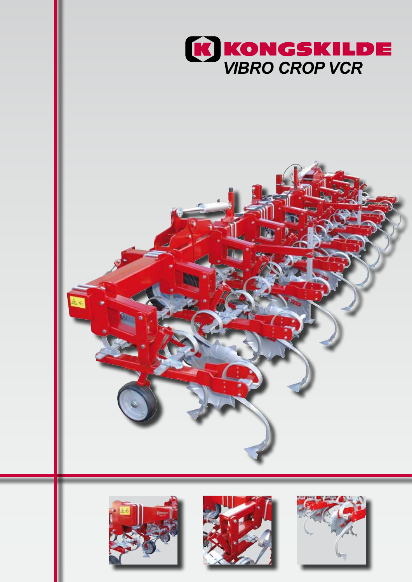